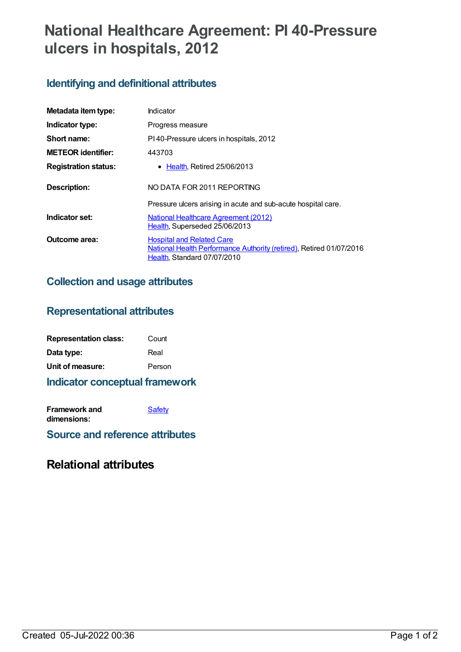# **National Healthcare Agreement: PI 40-Pressure ulcers in hospitals, 2012**

## **Identifying and definitional attributes**

| Metadata item type:         | Indicator                                                                                                                              |  |
|-----------------------------|----------------------------------------------------------------------------------------------------------------------------------------|--|
| Indicator type:             | Progress measure                                                                                                                       |  |
| Short name:                 | PI40-Pressure ulcers in hospitals, 2012                                                                                                |  |
| <b>METEOR</b> identifier:   | 443703                                                                                                                                 |  |
| <b>Registration status:</b> | • Health, Retired 25/06/2013                                                                                                           |  |
| <b>Description:</b>         | NO DATA FOR 2011 REPORTING                                                                                                             |  |
|                             | Pressure ulcers arising in acute and sub-acute hospital care.                                                                          |  |
| Indicator set:              | <b>National Healthcare Agreement (2012)</b><br>Health, Superseded 25/06/2013                                                           |  |
| Outcome area:               | <b>Hospital and Related Care</b><br>National Health Performance Authority (retired), Retired 01/07/2016<br>Health, Standard 07/07/2010 |  |

#### **Collection and usage attributes**

#### **Representational attributes**

| <b>Representation class:</b> | Count  |
|------------------------------|--------|
| Data type:                   | Real   |
| Unit of measure:             | Person |

#### **Indicator conceptual framework**

| Framework and | Safety |
|---------------|--------|
| dimensions:   |        |

**Source and reference attributes**

### **Relational attributes**